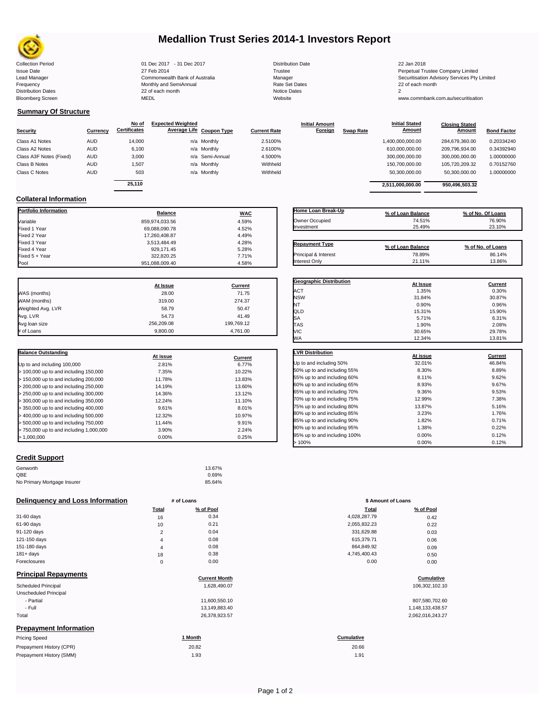

## **Medallion Trust Series 2014-1 Investors Report**

| <b>Collection Period</b>  | 01 Dec 2017 - 31 Dec 2017      | <b>Distribution Date</b> | 22 Jan 2018       |
|---------------------------|--------------------------------|--------------------------|-------------------|
| <b>Issue Date</b>         | 27 Feb 2014                    | Trustee                  | Perpetual Trustee |
| Lead Manager              | Commonwealth Bank of Australia | Manager                  | Securitisation Ad |
| Frequency                 | Monthly and SemiAnnual         | Rate Set Dates           | 22 of each month  |
| <b>Distribution Dates</b> | 22 of each month               | <b>Notice Dates</b>      |                   |
| <b>Bloomberg Screen</b>   | MEDL                           | Website                  | www.commbank.     |

929,171.45 5.28%<br>322,820.25 7.71%

| <b>Distribution Date</b> |
|--------------------------|
| Trustee                  |
| Manager                  |
| Rate Set Dates           |
| <b>Notice Dates</b>      |
| Website                  |

Issue Date 27 Feb 2014 Trustee Perpetual Trustee Company Limited Lead Manager **Commonwealth Bank of Australia** Manager Manager Manager Securitisation Advisory Services Pty Limited<br>Trequency **Securitisation Securitisation Securitisation Monthly and SemiAnnual** Securitisation Advisory Ser

www.commbank.com.au/securitisation

### **Summary Of Structure**

**Collateral Information**

 $Fixed 5 + Year$ 

| Security                | Currency   | No of<br><b>Certificates</b> | <b>Expected Weighted</b><br>Average Life Coupon Type | <b>Current Rate</b> | <b>Initial Amount</b><br><b>Foreign</b> | <b>Swap Rate</b> | <b>Initial Stated</b><br><b>Amount</b> | <b>Closing Stated</b><br>Amount | <b>Bond Factor</b> |
|-------------------------|------------|------------------------------|------------------------------------------------------|---------------------|-----------------------------------------|------------------|----------------------------------------|---------------------------------|--------------------|
|                         |            |                              |                                                      |                     |                                         |                  |                                        |                                 |                    |
| Class A1 Notes          | <b>AUD</b> | 14.000                       | n/a Monthly                                          | 2.5100%             |                                         |                  | 1,400,000,000.00                       | 284.679.360.00                  | 0.20334240         |
| Class A2 Notes          | <b>AUD</b> | 6,100                        | n/a Monthly                                          | 2.6100%             |                                         |                  | 610,000,000.00                         | 209,796,934.00                  | 0.34392940         |
| Class A3F Notes (Fixed) | <b>AUD</b> | 3,000                        | n/a Semi-Annual                                      | 4.5000%             |                                         |                  | 300,000,000.00                         | 300,000,000.00                  | 1.00000000         |
| Class B Notes           | <b>AUD</b> | 1.507                        | n/a Monthly                                          | Withheld            |                                         |                  | 150,700,000.00                         | 105,720,209.32                  | 0.70152760         |
| Class C Notes           | <b>AUD</b> | 503                          | n/a Monthly                                          | Withheld            |                                         |                  | 50,300,000.00                          | 50,300,000.00                   | 1.00000000         |
|                         |            | 25.110                       |                                                      |                     |                                         |                  |                                        | 950.496.503.32                  |                    |
|                         |            |                              |                                                      |                     |                                         |                  | 2,511,000,000.00                       |                                 |                    |

| Home Loan Break-Up              | % of Loan Balance | % of No. Of Loans |
|---------------------------------|-------------------|-------------------|
| Owner Occupied                  | 74.51%            | 76.90%            |
| Investment                      | 25.49%            | 23.10%            |
|                                 |                   |                   |
| <b>Repayment Type</b>           | % of Loan Balance | % of No. of Loans |
| <b>Principal &amp; Interest</b> | 78.89%            | 86.14%            |

**Geographic Distribution At Issue Current**

Interest Only 21.11% 13.86%

**Initial Stated** 

| Pool              | 951,088,009.40 | 4.58%   |
|-------------------|----------------|---------|
|                   |                |         |
|                   | At Issue       | Current |
| WAS (months)      | 28.00          | 71.75   |
| WAM (months)      | 319.00         | 274.37  |
| Weighted Avg. LVR | 58.79          | 50.47   |
| Avg. LVR          | 54.73          | 41.49   |

Avg loan size 256,209.08 199,769.12 # of Loans 9,800.00 4,761.00

**Portfolio Information Balance WAC** Variable 859,974,033.56 4.59% Fixed 1 Year 69,088,090.78 4.52% Fixed 2 Year 17,260,408.87 4.49% Fixed 3 Year 3,513,484.49 4.28%

| <b>Balance Outstanding</b>              | At issue | Current |
|-----------------------------------------|----------|---------|
| Up to and including 100,000             | 2.81%    | 6.77%   |
| > 100,000 up to and including 150,000   | 7.35%    | 10.22%  |
| > 150,000 up to and including 200,000   | 11.78%   | 13.83%  |
| > 200,000 up to and including 250,000   | 14.19%   | 13.60%  |
| $>$ 250,000 up to and including 300,000 | 14.36%   | 13.12%  |
| > 300,000 up to and including 350,000   | 12.24%   | 11.10%  |
| > 350,000 up to and including 400,000   | 9.61%    | 8.01%   |
| > 400,000 up to and including 500,000   | 12.32%   | 10.97%  |
| $>$ 500,000 up to and including 750,000 | 11.44%   | 9.91%   |
| > 750,000 up to and including 1,000,000 | 3.90%    | 2.24%   |
| > 1.000.000                             | 0.00%    | 0.25%   |

### **Credit Support**

Prepayment History (SMM)

| Genworth                    | 13.67% |
|-----------------------------|--------|
| QBE                         | 0.69%  |
| No Primary Mortgage Insurer | 85.64% |

### **Delinquency and Loss Information** # of Loans

|                             | <b>Total</b>   | % of Pool            | <b>Total</b> | % of Pool  |
|-----------------------------|----------------|----------------------|--------------|------------|
| 31-60 days                  | 16             | 0.34                 | 4,028,287.79 | 0.42       |
| 61-90 days                  | 10             | 0.21                 | 2,055,832.23 | 0.22       |
| 91-120 days                 | $\overline{2}$ | 0.04                 | 331,629.88   | 0.03       |
| 121-150 days                | 4              | 0.08                 | 615,379.71   | 0.06       |
| 151-180 days                | $\overline{4}$ | 0.08                 | 864,849.92   | 0.09       |
| $181 + days$                | 18             | 0.38                 | 4,745,400.43 | 0.50       |
| Foreclosures                | $\mathbf 0$    | 0.00                 | 0.00         | 0.00       |
| <b>Principal Repayments</b> |                | <b>Current Month</b> |              | Cumulative |

| Unscheduled Principal<br>- Partial<br>11,600,550.10<br>- Full<br>13.149.883.40<br>Total<br>26,378,923.57<br><b>Prepayment Information</b><br><b>Pricing Speed</b><br>1 Month<br><b>Cumulative</b><br>Prepayment History (CPR)<br>20.82<br>20.66 | <b>Scheduled Principal</b> | 1.628.490.07 | 106,302,102.10   |
|-------------------------------------------------------------------------------------------------------------------------------------------------------------------------------------------------------------------------------------------------|----------------------------|--------------|------------------|
|                                                                                                                                                                                                                                                 |                            |              |                  |
|                                                                                                                                                                                                                                                 |                            |              | 807,580,702.60   |
|                                                                                                                                                                                                                                                 |                            |              | 1,148,133,438.57 |
|                                                                                                                                                                                                                                                 |                            |              | 2,062,016,243.27 |
|                                                                                                                                                                                                                                                 |                            |              |                  |
|                                                                                                                                                                                                                                                 |                            |              |                  |
|                                                                                                                                                                                                                                                 |                            |              |                  |

| ACT                         | 1.35%    | 0.30%          |
|-----------------------------|----------|----------------|
| <b>NSW</b>                  | 31.84%   | 30.87%         |
| NT                          | 0.90%    | 0.96%          |
| QLD                         | 15.31%   | 15.90%         |
| SA                          | 5.71%    | 6.31%          |
| TAS                         | 1.90%    | 2.08%          |
| <b>VIC</b>                  | 30.65%   | 29.78%         |
| <b>WA</b>                   | 12.34%   | 13.81%         |
|                             |          |                |
| <b>LVR Distribution</b>     | At issue | <b>Current</b> |
| Up to and including 50%     | 32.01%   | 46.84%         |
| 50% up to and including 55% | 8.30%    | 8.89%          |
| 55% up to and including 60% | 8.11%    | 9.62%          |
| 60% up to and including 65% | 8.93%    | 9.67%          |
| 65% up to and including 70% |          | 9.53%          |
|                             | 9.36%    |                |
| 70% up to and including 75% | 12.99%   | 7.38%          |
| 75% up to and including 80% | 13.87%   | 5.16%          |
| 80% up to and including 85% | 3.23%    | 1.76%          |

85% up to and including 90% 1.82% 1.82% 1.82% 1.82% 0.71% 0.71% 90% up to and including 95% 1.38% 1.38% 1.38% 0.22% 0.22% 0.22%<br>السلطان المريد 1.12% 0.00% 0.12% 0.00% 0.12% 95% up to and including 100% 0.00% 0.00% 0.12% 0.00% 0.12% 0.12%  $> 100\%$  0.00% 0.12%

|                | # of Loans | \$ Amount of Loans |           |
|----------------|------------|--------------------|-----------|
| Total          | % of Pool  | Total              | % of Pool |
| 16             | 0.34       | 4,028,287.79       | 0.42      |
| 10             | 0.21       | 2,055,832.23       | 0.22      |
| $\overline{2}$ | 0.04       | 331,629.88         | 0.03      |
| $\overline{4}$ | 0.08       | 615,379.71         | 0.06      |
| $\overline{4}$ | 0.08       | 864,849.92         | 0.09      |
| 18             | 0.38       | 4,745,400.43       | 0.50      |
| 0              | 0.00       | 0.00               | 0.00      |

| 807,580,702.60   |
|------------------|
| 1,148,133,438.57 |
| 2,062,016,243.27 |

1.93 1.91 20.66